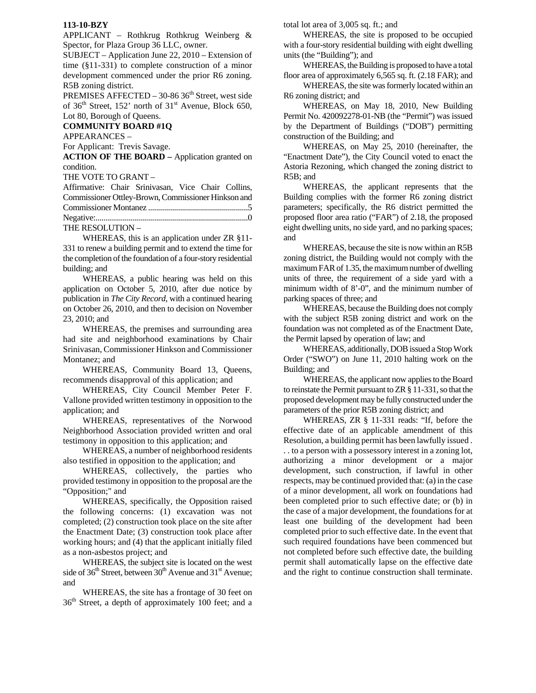## **113-10-BZY**

APPLICANT – Rothkrug Rothkrug Weinberg & Spector, for Plaza Group 36 LLC, owner.

SUBJECT – Application June 22, 2010 – Extension of time (§11-331) to complete construction of a minor development commenced under the prior R6 zoning. R5B zoning district.

PREMISES AFFECTED - 30-86 36<sup>th</sup> Street, west side of  $36<sup>th</sup>$  Street, 152' north of  $31<sup>st</sup>$  Avenue, Block 650, Lot 80, Borough of Queens.

## **COMMUNITY BOARD #1Q**

APPEARANCES –

For Applicant: Trevis Savage.

**ACTION OF THE BOARD –** Application granted on condition.

THE VOTE TO GRANT –

| Affirmative: Chair Srinivasan, Vice Chair Collins,  |  |  |  |  |  |
|-----------------------------------------------------|--|--|--|--|--|
| Commissioner Ottley-Brown, Commissioner Hinkson and |  |  |  |  |  |
|                                                     |  |  |  |  |  |
|                                                     |  |  |  |  |  |
| THE RESOLUTION -                                    |  |  |  |  |  |

WHEREAS, this is an application under ZR §11- 331 to renew a building permit and to extend the time for the completion of the foundation of a four-story residential building; and

WHEREAS, a public hearing was held on this application on October 5, 2010, after due notice by publication in *The City Record*, with a continued hearing on October 26, 2010, and then to decision on November 23, 2010; and

WHEREAS, the premises and surrounding area had site and neighborhood examinations by Chair Srinivasan, Commissioner Hinkson and Commissioner Montanez; and

WHEREAS, Community Board 13, Queens, recommends disapproval of this application; and

WHEREAS, City Council Member Peter F. Vallone provided written testimony in opposition to the application; and

WHEREAS, representatives of the Norwood Neighborhood Association provided written and oral testimony in opposition to this application; and

WHEREAS, a number of neighborhood residents also testified in opposition to the application; and

WHEREAS, collectively, the parties who provided testimony in opposition to the proposal are the "Opposition;" and

WHEREAS, specifically, the Opposition raised the following concerns: (1) excavation was not completed; (2) construction took place on the site after the Enactment Date; (3) construction took place after working hours; and (4) that the applicant initially filed as a non-asbestos project; and

WHEREAS, the subject site is located on the west side of  $36<sup>th</sup>$  Street, between  $30<sup>th</sup>$  Avenue and  $31<sup>st</sup>$  Avenue; and

WHEREAS, the site has a frontage of 30 feet on 36th Street, a depth of approximately 100 feet; and a total lot area of 3,005 sq. ft.; and

WHEREAS, the site is proposed to be occupied with a four-story residential building with eight dwelling units (the "Building"); and

WHEREAS, the Building is proposed to have a total floor area of approximately 6,565 sq. ft. (2.18 FAR); and

WHEREAS, the site was formerly located within an R6 zoning district; and

WHEREAS, on May 18, 2010, New Building Permit No. 420092278-01-NB (the "Permit") was issued by the Department of Buildings ("DOB") permitting construction of the Building; and

WHEREAS, on May 25, 2010 (hereinafter, the "Enactment Date"), the City Council voted to enact the Astoria Rezoning, which changed the zoning district to R5B; and

WHEREAS, the applicant represents that the Building complies with the former R6 zoning district parameters; specifically, the R6 district permitted the proposed floor area ratio ("FAR") of 2.18, the proposed eight dwelling units, no side yard, and no parking spaces; and

WHEREAS, because the site is now within an R5B zoning district, the Building would not comply with the maximum FAR of 1.35, the maximum number of dwelling units of three, the requirement of a side yard with a minimum width of 8'-0", and the minimum number of parking spaces of three; and

WHEREAS, because the Building does not comply with the subject R5B zoning district and work on the foundation was not completed as of the Enactment Date, the Permit lapsed by operation of law; and

WHEREAS, additionally, DOB issued a Stop Work Order ("SWO") on June 11, 2010 halting work on the Building; and

WHEREAS, the applicant now applies to the Board to reinstate the Permit pursuant to ZR § 11-331, so that the proposed development may be fully constructed under the parameters of the prior R5B zoning district; and

WHEREAS, ZR § 11-331 reads: "If, before the effective date of an applicable amendment of this Resolution, a building permit has been lawfully issued . . . to a person with a possessory interest in a zoning lot, authorizing a minor development or a major development, such construction, if lawful in other respects, may be continued provided that: (a) in the case of a minor development, all work on foundations had been completed prior to such effective date; or (b) in the case of a major development, the foundations for at least one building of the development had been completed prior to such effective date. In the event that such required foundations have been commenced but not completed before such effective date, the building permit shall automatically lapse on the effective date and the right to continue construction shall terminate.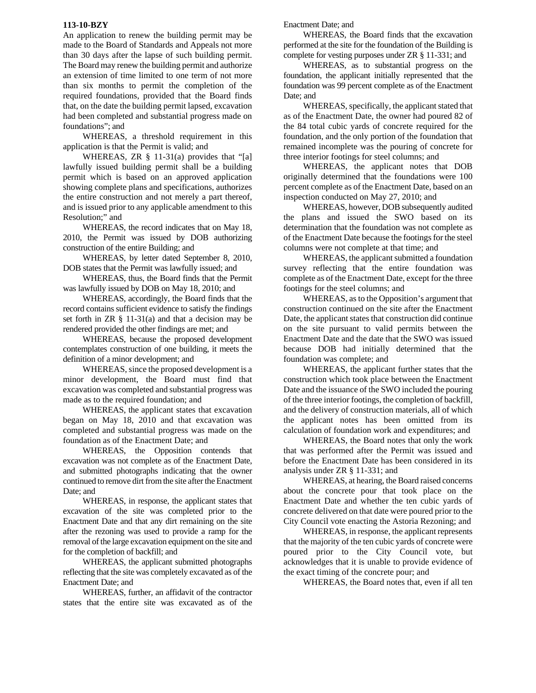## **113-10-BZY**

An application to renew the building permit may be made to the Board of Standards and Appeals not more than 30 days after the lapse of such building permit. The Board may renew the building permit and authorize an extension of time limited to one term of not more than six months to permit the completion of the required foundations, provided that the Board finds that, on the date the building permit lapsed, excavation had been completed and substantial progress made on foundations"; and

WHEREAS, a threshold requirement in this application is that the Permit is valid; and

WHEREAS, ZR  $\S$  11-31(a) provides that "[a] lawfully issued building permit shall be a building permit which is based on an approved application showing complete plans and specifications, authorizes the entire construction and not merely a part thereof, and is issued prior to any applicable amendment to this Resolution;" and

WHEREAS, the record indicates that on May 18, 2010, the Permit was issued by DOB authorizing construction of the entire Building; and

WHEREAS, by letter dated September 8, 2010, DOB states that the Permit was lawfully issued; and

WHEREAS, thus, the Board finds that the Permit was lawfully issued by DOB on May 18, 2010; and

WHEREAS, accordingly, the Board finds that the record contains sufficient evidence to satisfy the findings set forth in  $ZR \S 11-31(a)$  and that a decision may be rendered provided the other findings are met; and

WHEREAS, because the proposed development contemplates construction of one building, it meets the definition of a minor development; and

WHEREAS, since the proposed development is a minor development, the Board must find that excavation was completed and substantial progress was made as to the required foundation; and

WHEREAS, the applicant states that excavation began on May 18, 2010 and that excavation was completed and substantial progress was made on the foundation as of the Enactment Date; and

WHEREAS, the Opposition contends that excavation was not complete as of the Enactment Date, and submitted photographs indicating that the owner continued to remove dirt from the site after the Enactment Date; and

WHEREAS, in response, the applicant states that excavation of the site was completed prior to the Enactment Date and that any dirt remaining on the site after the rezoning was used to provide a ramp for the removal of the large excavation equipment on the site and for the completion of backfill; and

WHEREAS, the applicant submitted photographs reflecting that the site was completely excavated as of the Enactment Date; and

WHEREAS, further, an affidavit of the contractor states that the entire site was excavated as of the

Enactment Date; and

WHEREAS, the Board finds that the excavation performed at the site for the foundation of the Building is complete for vesting purposes under ZR § 11-331; and

WHEREAS, as to substantial progress on the foundation, the applicant initially represented that the foundation was 99 percent complete as of the Enactment Date; and

WHEREAS, specifically, the applicant stated that as of the Enactment Date, the owner had poured 82 of the 84 total cubic yards of concrete required for the foundation, and the only portion of the foundation that remained incomplete was the pouring of concrete for three interior footings for steel columns; and

WHEREAS, the applicant notes that DOB originally determined that the foundations were 100 percent complete as of the Enactment Date, based on an inspection conducted on May 27, 2010; and

WHEREAS, however, DOB subsequently audited the plans and issued the SWO based on its determination that the foundation was not complete as of the Enactment Date because the footings for the steel columns were not complete at that time; and

WHEREAS, the applicant submitted a foundation survey reflecting that the entire foundation was complete as of the Enactment Date, except for the three footings for the steel columns; and

WHEREAS, as to the Opposition's argument that construction continued on the site after the Enactment Date, the applicant states that construction did continue on the site pursuant to valid permits between the Enactment Date and the date that the SWO was issued because DOB had initially determined that the foundation was complete; and

WHEREAS, the applicant further states that the construction which took place between the Enactment Date and the issuance of the SWO included the pouring of the three interior footings, the completion of backfill, and the delivery of construction materials, all of which the applicant notes has been omitted from its calculation of foundation work and expenditures; and

WHEREAS, the Board notes that only the work that was performed after the Permit was issued and before the Enactment Date has been considered in its analysis under ZR § 11-331; and

WHEREAS, at hearing, the Board raised concerns about the concrete pour that took place on the Enactment Date and whether the ten cubic yards of concrete delivered on that date were poured prior to the City Council vote enacting the Astoria Rezoning; and

WHEREAS, in response, the applicant represents that the majority of the ten cubic yards of concrete were poured prior to the City Council vote, but acknowledges that it is unable to provide evidence of the exact timing of the concrete pour; and

WHEREAS, the Board notes that, even if all ten